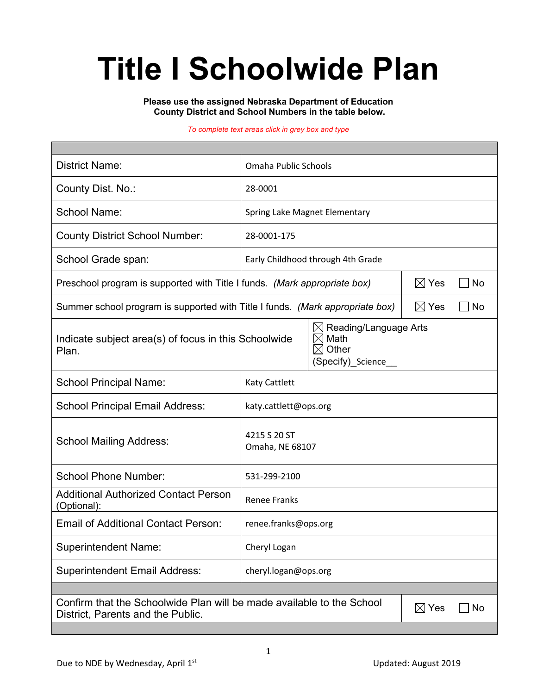# **Title I Schoolwide Plan**

**Please use the assigned Nebraska Department of Education County District and School Numbers in the table below.**

#### *To complete text areas click in grey box and type*

| <b>District Name:</b>                                                                                                               | Omaha Public Schools                                                                  |                       |  |  |  |
|-------------------------------------------------------------------------------------------------------------------------------------|---------------------------------------------------------------------------------------|-----------------------|--|--|--|
| County Dist. No.:                                                                                                                   | 28-0001                                                                               |                       |  |  |  |
| <b>School Name:</b>                                                                                                                 | Spring Lake Magnet Elementary                                                         |                       |  |  |  |
| <b>County District School Number:</b>                                                                                               | 28-0001-175                                                                           |                       |  |  |  |
| School Grade span:                                                                                                                  | Early Childhood through 4th Grade                                                     |                       |  |  |  |
| Preschool program is supported with Title I funds. (Mark appropriate box)                                                           | $\boxtimes$ Yes<br><b>No</b>                                                          |                       |  |  |  |
| Summer school program is supported with Title I funds. (Mark appropriate box)                                                       |                                                                                       | $\boxtimes$ Yes<br>No |  |  |  |
| Indicate subject area(s) of focus in this Schoolwide<br>Plan.                                                                       | Reading/Language Arts<br>$\boxtimes$<br>Math<br>IX<br>Other<br>M<br>(Specify) Science |                       |  |  |  |
| <b>School Principal Name:</b>                                                                                                       | Katy Cattlett                                                                         |                       |  |  |  |
| <b>School Principal Email Address:</b>                                                                                              | katy.cattlett@ops.org                                                                 |                       |  |  |  |
| <b>School Mailing Address:</b>                                                                                                      | 4215 S 20 ST<br>Omaha, NE 68107                                                       |                       |  |  |  |
| <b>School Phone Number:</b>                                                                                                         | 531-299-2100                                                                          |                       |  |  |  |
| <b>Additional Authorized Contact Person</b><br>(Optional):                                                                          | <b>Renee Franks</b>                                                                   |                       |  |  |  |
| <b>Email of Additional Contact Person:</b>                                                                                          | renee.franks@ops.org                                                                  |                       |  |  |  |
| <b>Superintendent Name:</b>                                                                                                         | Cheryl Logan                                                                          |                       |  |  |  |
| <b>Superintendent Email Address:</b>                                                                                                | cheryl.logan@ops.org                                                                  |                       |  |  |  |
|                                                                                                                                     |                                                                                       |                       |  |  |  |
| Confirm that the Schoolwide Plan will be made available to the School<br>$\boxtimes$ Yes<br>No<br>District, Parents and the Public. |                                                                                       |                       |  |  |  |
|                                                                                                                                     |                                                                                       |                       |  |  |  |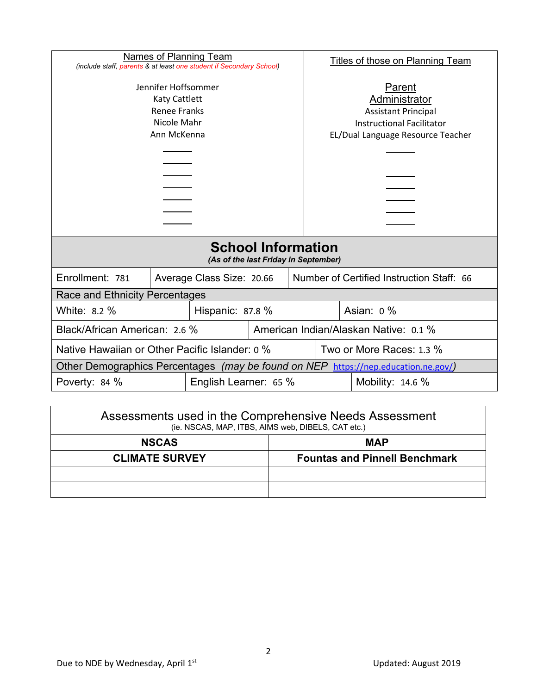| Names of Planning Team                                                                                                                                           |  |                                                                        |  |                                                                                                                                | <b>Titles of those on Planning Team</b> |  |  |
|------------------------------------------------------------------------------------------------------------------------------------------------------------------|--|------------------------------------------------------------------------|--|--------------------------------------------------------------------------------------------------------------------------------|-----------------------------------------|--|--|
| (include staff, parents & at least one student if Secondary School)<br>Jennifer Hoffsommer<br>Katy Cattlett<br><b>Renee Franks</b><br>Nicole Mahr<br>Ann McKenna |  |                                                                        |  | Parent<br>Administrator<br><b>Assistant Principal</b><br><b>Instructional Facilitator</b><br>EL/Dual Language Resource Teacher |                                         |  |  |
| <b>School Information</b><br>(As of the last Friday in September)                                                                                                |  |                                                                        |  |                                                                                                                                |                                         |  |  |
| Enrollment: 781                                                                                                                                                  |  | Number of Certified Instruction Staff: 66<br>Average Class Size: 20.66 |  |                                                                                                                                |                                         |  |  |
| Race and Ethnicity Percentages                                                                                                                                   |  |                                                                        |  |                                                                                                                                |                                         |  |  |
| White: 8.2 %<br>Hispanic: 87.8 %                                                                                                                                 |  |                                                                        |  | Asian: $0\%$                                                                                                                   |                                         |  |  |
| American Indian/Alaskan Native: 0.1 %<br>Black/African American: 2.6 %                                                                                           |  |                                                                        |  |                                                                                                                                |                                         |  |  |
| Native Hawaiian or Other Pacific Islander: 0 %                                                                                                                   |  |                                                                        |  | Two or More Races: 1.3 %                                                                                                       |                                         |  |  |
| Other Demographics Percentages (may be found on NEP https://nep.education.ne.gov/)                                                                               |  |                                                                        |  |                                                                                                                                |                                         |  |  |
| Poverty: 84 %<br>English Learner: 65 %                                                                                                                           |  |                                                                        |  | Mobility: 14.6 %                                                                                                               |                                         |  |  |

| Assessments used in the Comprehensive Needs Assessment<br>(ie. NSCAS, MAP, ITBS, AIMS web, DIBELS, CAT etc.) |                                      |  |  |  |
|--------------------------------------------------------------------------------------------------------------|--------------------------------------|--|--|--|
| <b>NSCAS</b>                                                                                                 | <b>MAP</b>                           |  |  |  |
| <b>CLIMATE SURVEY</b>                                                                                        | <b>Fountas and Pinnell Benchmark</b> |  |  |  |
|                                                                                                              |                                      |  |  |  |
|                                                                                                              |                                      |  |  |  |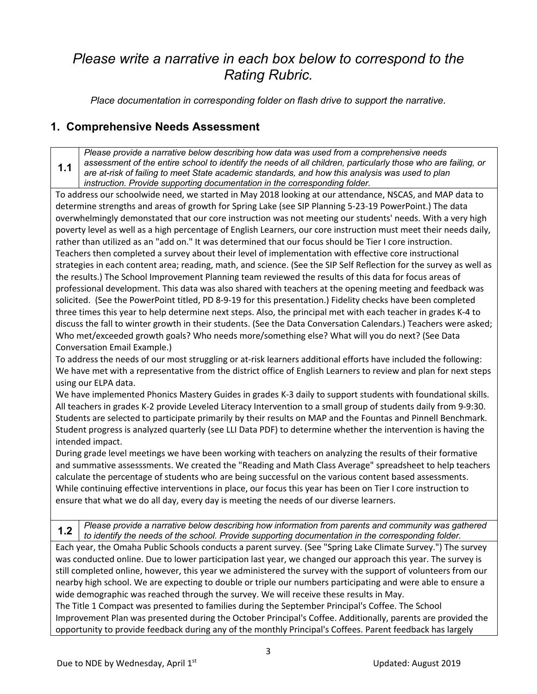## *Please write a narrative in each box below to correspond to the Rating Rubric.*

*Place documentation in corresponding folder on flash drive to support the narrative.*

#### **1. Comprehensive Needs Assessment**

**1.1** *Please provide a narrative below describing how data was used from a comprehensive needs assessment of the entire school to identify the needs of all children, particularly those who are failing, or are at-risk of failing to meet State academic standards, and how this analysis was used to plan instruction. Provide supporting documentation in the corresponding folder.*

To address our schoolwide need, we started in May 2018 looking at our attendance, NSCAS, and MAP data to determine strengths and areas of growth for Spring Lake (see SIP Planning 5-23-19 PowerPoint.) The data overwhelmingly demonstated that our core instruction was not meeting our students' needs. With a very high poverty level as well as a high percentage of English Learners, our core instruction must meet their needs daily, rather than utilized as an "add on." It was determined that our focus should be Tier I core instruction. Teachers then completed a survey about their level of implementation with effective core instructional strategies in each content area; reading, math, and science. (See the SIP Self Reflection for the survey as well as the results.) The School Improvement Planning team reviewed the results of this data for focus areas of professional development. This data was also shared with teachers at the opening meeting and feedback was solicited. (See the PowerPoint titled, PD 8-9-19 for this presentation.) Fidelity checks have been completed three times this year to help determine next steps. Also, the principal met with each teacher in grades K-4 to discuss the fall to winter growth in their students. (See the Data Conversation Calendars.) Teachers were asked; Who met/exceeded growth goals? Who needs more/something else? What will you do next? (See Data Conversation Email Example.)

To address the needs of our most struggling or at-risk learners additional efforts have included the following: We have met with a representative from the district office of English Learners to review and plan for next steps using our ELPA data.

We have implemented Phonics Mastery Guides in grades K-3 daily to support students with foundational skills. All teachers in grades K-2 provide Leveled Literacy Intervention to a small group of students daily from 9-9:30. Students are selected to participate primarily by their results on MAP and the Fountas and Pinnell Benchmark. Student progress is analyzed quarterly (see LLI Data PDF) to determine whether the intervention is having the intended impact.

During grade level meetings we have been working with teachers on analyzing the results of their formative and summative assesssments. We created the "Reading and Math Class Average" spreadsheet to help teachers calculate the percentage of students who are being successful on the various content based assessments. While continuing effective interventions in place, our focus this year has been on Tier I core instruction to ensure that what we do all day, every day is meeting the needs of our diverse learners.

**1.2** *Please provide a narrative below describing how information from parents and community was gathered to identify the needs of the school. Provide supporting documentation in the corresponding folder.*

Each year, the Omaha Public Schools conducts a parent survey. (See "Spring Lake Climate Survey.") The survey was conducted online. Due to lower participation last year, we changed our approach this year. The survey is still completed online, however, this year we administered the survey with the support of volunteers from our nearby high school. We are expecting to double or triple our numbers participating and were able to ensure a wide demographic was reached through the survey. We will receive these results in May.

The Title 1 Compact was presented to families during the September Principal's Coffee. The School Improvement Plan was presented during the October Principal's Coffee. Additionally, parents are provided the opportunity to provide feedback during any of the monthly Principal's Coffees. Parent feedback has largely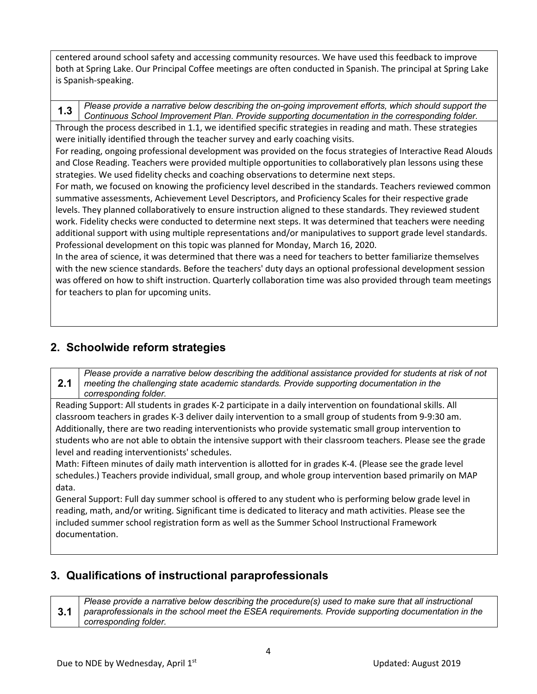centered around school safety and accessing community resources. We have used this feedback to improve both at Spring Lake. Our Principal Coffee meetings are often conducted in Spanish. The principal at Spring Lake is Spanish-speaking.

**1.3** *Please provide a narrative below describing the on-going improvement efforts, which should support the Continuous School Improvement Plan. Provide supporting documentation in the corresponding folder.*

Through the process described in 1.1, we identified specific strategies in reading and math. These strategies were initially identified through the teacher survey and early coaching visits.

For reading, ongoing professional development was provided on the focus strategies of Interactive Read Alouds and Close Reading. Teachers were provided multiple opportunities to collaboratively plan lessons using these strategies. We used fidelity checks and coaching observations to determine next steps.

For math, we focused on knowing the proficiency level described in the standards. Teachers reviewed common summative assessments, Achievement Level Descriptors, and Proficiency Scales for their respective grade levels. They planned collaboratively to ensure instruction aligned to these standards. They reviewed student work. Fidelity checks were conducted to determine next steps. It was determined that teachers were needing additional support with using multiple representations and/or manipulatives to support grade level standards. Professional development on this topic was planned for Monday, March 16, 2020.

In the area of science, it was determined that there was a need for teachers to better familiarize themselves with the new science standards. Before the teachers' duty days an optional professional development session was offered on how to shift instruction. Quarterly collaboration time was also provided through team meetings for teachers to plan for upcoming units.

#### **2. Schoolwide reform strategies**

*Please provide a narrative below describing the additional assistance provided for students at risk of not* 

**2.1** *meeting the challenging state academic standards. Provide supporting documentation in the corresponding folder.*

Reading Support: All students in grades K-2 participate in a daily intervention on foundational skills. All classroom teachers in grades K-3 deliver daily intervention to a small group of students from 9-9:30 am. Additionally, there are two reading interventionists who provide systematic small group intervention to students who are not able to obtain the intensive support with their classroom teachers. Please see the grade level and reading interventionists' schedules.

Math: Fifteen minutes of daily math intervention is allotted for in grades K-4. (Please see the grade level schedules.) Teachers provide individual, small group, and whole group intervention based primarily on MAP data.

General Support: Full day summer school is offered to any student who is performing below grade level in reading, math, and/or writing. Significant time is dedicated to literacy and math activities. Please see the included summer school registration form as well as the Summer School Instructional Framework documentation.

#### **3. Qualifications of instructional paraprofessionals**

**3.1** *Please provide a narrative below describing the procedure(s) used to make sure that all instructional paraprofessionals in the school meet the ESEA requirements. Provide supporting documentation in the corresponding folder.*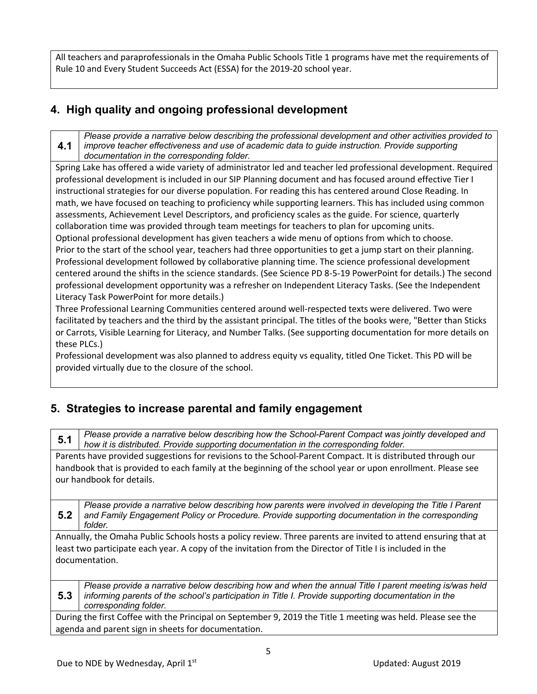All teachers and paraprofessionals in the Omaha Public Schools Title 1 programs have met the requirements of Rule 10 and Every Student Succeeds Act (ESSA) for the 2019-20 school year.

### **4. High quality and ongoing professional development**

**4.1** *Please provide a narrative below describing the professional development and other activities provided to improve teacher effectiveness and use of academic data to guide instruction. Provide supporting documentation in the corresponding folder.*

Spring Lake has offered a wide variety of administrator led and teacher led professional development. Required professional development is included in our SIP Planning document and has focused around effective Tier I instructional strategies for our diverse population. For reading this has centered around Close Reading. In math, we have focused on teaching to proficiency while supporting learners. This has included using common assessments, Achievement Level Descriptors, and proficiency scales as the guide. For science, quarterly collaboration time was provided through team meetings for teachers to plan for upcoming units. Optional professional development has given teachers a wide menu of options from which to choose. Prior to the start of the school year, teachers had three opportunities to get a jump start on their planning. Professional development followed by collaborative planning time. The science professional development centered around the shifts in the science standards. (See Science PD 8-5-19 PowerPoint for details.) The second professional development opportunity was a refresher on Independent Literacy Tasks. (See the Independent Literacy Task PowerPoint for more details.)

Three Professional Learning Communities centered around well-respected texts were delivered. Two were facilitated by teachers and the third by the assistant principal. The titles of the books were, "Better than Sticks or Carrots, Visible Learning for Literacy, and Number Talks. (See supporting documentation for more details on these PLCs.)

Professional development was also planned to address equity vs equality, titled One Ticket. This PD will be provided virtually due to the closure of the school.

### **5. Strategies to increase parental and family engagement**

**5.1** *Please provide a narrative below describing how the School-Parent Compact was jointly developed and how it is distributed. Provide supporting documentation in the corresponding folder.*

Parents have provided suggestions for revisions to the School-Parent Compact. It is distributed through our handbook that is provided to each family at the beginning of the school year or upon enrollment. Please see our handbook for details.

**5.2** *Please provide a narrative below describing how parents were involved in developing the Title I Parent and Family Engagement Policy or Procedure. Provide supporting documentation in the corresponding folder.*

Annually, the Omaha Public Schools hosts a policy review. Three parents are invited to attend ensuring that at least two participate each year. A copy of the invitation from the Director of Title I is included in the documentation.

**5.3** *Please provide a narrative below describing how and when the annual Title I parent meeting is/was held informing parents of the school's participation in Title I. Provide supporting documentation in the corresponding folder.*

During the first Coffee with the Principal on September 9, 2019 the Title 1 meeting was held. Please see the agenda and parent sign in sheets for documentation.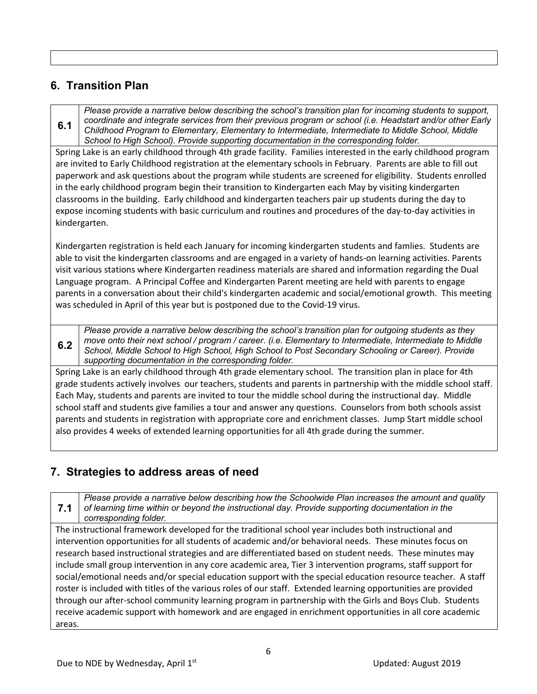#### **6. Transition Plan**

**6.1** *Please provide a narrative below describing the school's transition plan for incoming students to support, coordinate and integrate services from their previous program or school (i.e. Headstart and/or other Early Childhood Program to Elementary, Elementary to Intermediate, Intermediate to Middle School, Middle School to High School). Provide supporting documentation in the corresponding folder.*

Spring Lake is an early childhood through 4th grade facility. Families interested in the early childhood program are invited to Early Childhood registration at the elementary schools in February. Parents are able to fill out paperwork and ask questions about the program while students are screened for eligibility. Students enrolled in the early childhood program begin their transition to Kindergarten each May by visiting kindergarten classrooms in the building. Early childhood and kindergarten teachers pair up students during the day to expose incoming students with basic curriculum and routines and procedures of the day-to-day activities in kindergarten.

Kindergarten registration is held each January for incoming kindergarten students and famlies. Students are able to visit the kindergarten classrooms and are engaged in a variety of hands-on learning activities. Parents visit various stations where Kindergarten readiness materials are shared and information regarding the Dual Language program. A Principal Coffee and Kindergarten Parent meeting are held with parents to engage parents in a conversation about their child's kindergarten academic and social/emotional growth. This meeting was scheduled in April of this year but is postponed due to the Covid-19 virus.

**6.2** *Please provide a narrative below describing the school's transition plan for outgoing students as they move onto their next school / program / career. (i.e. Elementary to Intermediate, Intermediate to Middle School, Middle School to High School, High School to Post Secondary Schooling or Career). Provide supporting documentation in the corresponding folder.*

Spring Lake is an early childhood through 4th grade elementary school. The transition plan in place for 4th grade students actively involves our teachers, students and parents in partnership with the middle school staff. Each May, students and parents are invited to tour the middle school during the instructional day. Middle school staff and students give families a tour and answer any questions. Counselors from both schools assist parents and students in registration with appropriate core and enrichment classes. Jump Start middle school also provides 4 weeks of extended learning opportunities for all 4th grade during the summer.

### **7. Strategies to address areas of need**

**7.1** *Please provide a narrative below describing how the Schoolwide Plan increases the amount and quality of learning time within or beyond the instructional day. Provide supporting documentation in the corresponding folder.* The instructional framework developed for the traditional school year includes both instructional and intervention opportunities for all students of academic and/or behavioral needs. These minutes focus on research based instructional strategies and are differentiated based on student needs. These minutes may include small group intervention in any core academic area, Tier 3 intervention programs, staff support for social/emotional needs and/or special education support with the special education resource teacher. A staff roster is included with titles of the various roles of our staff. Extended learning opportunities are provided through our after-school community learning program in partnership with the Girls and Boys Club. Students receive academic support with homework and are engaged in enrichment opportunities in all core academic areas.